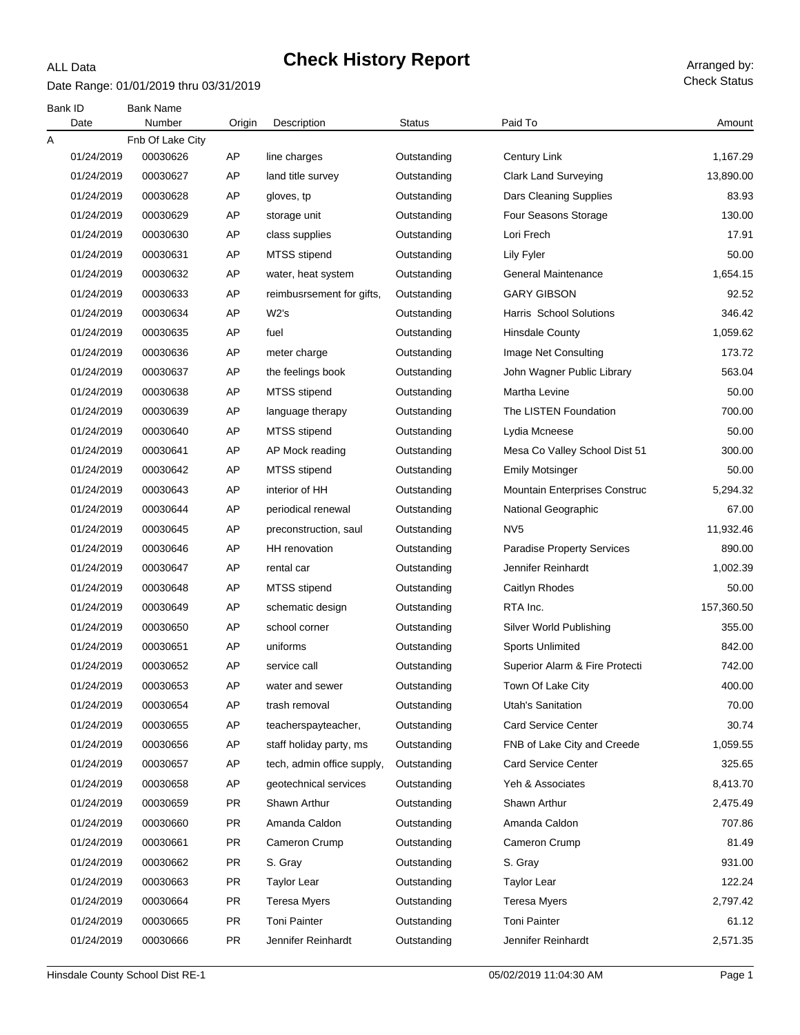### ALL Data

# **Check History Report** Arranged by:

Date Range: 01/01/2019 thru 03/31/2019

| Bank ID<br>Date | <b>Bank Name</b><br>Number | Origin    | Description                | <b>Status</b> | Paid To                           | Amount     |
|-----------------|----------------------------|-----------|----------------------------|---------------|-----------------------------------|------------|
| Α               | Fnb Of Lake City           |           |                            |               |                                   |            |
| 01/24/2019      | 00030626                   | AP        | line charges               | Outstanding   | Century Link                      | 1,167.29   |
| 01/24/2019      | 00030627                   | AP        | land title survey          | Outstanding   | <b>Clark Land Surveying</b>       | 13,890.00  |
| 01/24/2019      | 00030628                   | AP        | gloves, tp                 | Outstanding   | Dars Cleaning Supplies            | 83.93      |
| 01/24/2019      | 00030629                   | AP        | storage unit               | Outstanding   | Four Seasons Storage              | 130.00     |
| 01/24/2019      | 00030630                   | AP        | class supplies             | Outstanding   | Lori Frech                        | 17.91      |
| 01/24/2019      | 00030631                   | AP        | <b>MTSS</b> stipend        | Outstanding   | Lily Fyler                        | 50.00      |
| 01/24/2019      | 00030632                   | AP        | water, heat system         | Outstanding   | General Maintenance               | 1,654.15   |
| 01/24/2019      | 00030633                   | AP        | reimbusrsement for gifts,  | Outstanding   | GARY GIBSON                       | 92.52      |
| 01/24/2019      | 00030634                   | AP        | W2's                       | Outstanding   | Harris School Solutions           | 346.42     |
| 01/24/2019      | 00030635                   | AP        | fuel                       | Outstanding   | <b>Hinsdale County</b>            | 1,059.62   |
| 01/24/2019      | 00030636                   | AP        | meter charge               | Outstanding   | Image Net Consulting              | 173.72     |
| 01/24/2019      | 00030637                   | AP        | the feelings book          | Outstanding   | John Wagner Public Library        | 563.04     |
| 01/24/2019      | 00030638                   | AP        | MTSS stipend               | Outstanding   | Martha Levine                     | 50.00      |
| 01/24/2019      | 00030639                   | AP        | language therapy           | Outstanding   | The LISTEN Foundation             | 700.00     |
| 01/24/2019      | 00030640                   | AP        | MTSS stipend               | Outstanding   | Lydia Mcneese                     | 50.00      |
| 01/24/2019      | 00030641                   | AP        | AP Mock reading            | Outstanding   | Mesa Co Valley School Dist 51     | 300.00     |
| 01/24/2019      | 00030642                   | AP        | <b>MTSS</b> stipend        | Outstanding   | <b>Emily Motsinger</b>            | 50.00      |
| 01/24/2019      | 00030643                   | AP        | interior of HH             | Outstanding   | Mountain Enterprises Construc     | 5,294.32   |
| 01/24/2019      | 00030644                   | AP        | periodical renewal         | Outstanding   | National Geographic               | 67.00      |
| 01/24/2019      | 00030645                   | AP        | preconstruction, saul      | Outstanding   | NV <sub>5</sub>                   | 11,932.46  |
| 01/24/2019      | 00030646                   | AP        | <b>HH</b> renovation       | Outstanding   | <b>Paradise Property Services</b> | 890.00     |
| 01/24/2019      | 00030647                   | AP        | rental car                 | Outstanding   | Jennifer Reinhardt                | 1,002.39   |
| 01/24/2019      | 00030648                   | AP        | MTSS stipend               | Outstanding   | Caitlyn Rhodes                    | 50.00      |
| 01/24/2019      | 00030649                   | AP        | schematic design           | Outstanding   | RTA Inc.                          | 157,360.50 |
| 01/24/2019      | 00030650                   | AP        | school corner              | Outstanding   | Silver World Publishing           | 355.00     |
| 01/24/2019      | 00030651                   | AP        | uniforms                   | Outstanding   | <b>Sports Unlimited</b>           | 842.00     |
| 01/24/2019      | 00030652                   | AP        | service call               | Outstanding   | Superior Alarm & Fire Protecti    | 742.00     |
| 01/24/2019      | 00030653                   | AP        | water and sewer            | Outstanding   | Town Of Lake City                 | 400.00     |
| 01/24/2019      | 00030654                   | AP        | trash removal              | Outstanding   | Utah's Sanitation                 | 70.00      |
| 01/24/2019      | 00030655                   | AP        | teacherspayteacher,        | Outstanding   | <b>Card Service Center</b>        | 30.74      |
| 01/24/2019      | 00030656                   | AP        | staff holiday party, ms    | Outstanding   | FNB of Lake City and Creede       | 1,059.55   |
| 01/24/2019      | 00030657                   | AP        | tech, admin office supply, | Outstanding   | <b>Card Service Center</b>        | 325.65     |
| 01/24/2019      | 00030658                   | AP        | geotechnical services      | Outstanding   | Yeh & Associates                  | 8,413.70   |
| 01/24/2019      | 00030659                   | <b>PR</b> | Shawn Arthur               | Outstanding   | Shawn Arthur                      | 2,475.49   |
| 01/24/2019      | 00030660                   | <b>PR</b> | Amanda Caldon              | Outstanding   | Amanda Caldon                     | 707.86     |
| 01/24/2019      | 00030661                   | <b>PR</b> | Cameron Crump              | Outstanding   | Cameron Crump                     | 81.49      |
| 01/24/2019      | 00030662                   | <b>PR</b> | S. Gray                    | Outstanding   | S. Gray                           | 931.00     |
| 01/24/2019      | 00030663                   | <b>PR</b> | Taylor Lear                | Outstanding   | <b>Taylor Lear</b>                | 122.24     |
| 01/24/2019      | 00030664                   | <b>PR</b> | <b>Teresa Myers</b>        | Outstanding   | <b>Teresa Myers</b>               | 2,797.42   |
| 01/24/2019      | 00030665                   | <b>PR</b> | <b>Toni Painter</b>        | Outstanding   | <b>Toni Painter</b>               | 61.12      |
| 01/24/2019      | 00030666                   | PR        | Jennifer Reinhardt         | Outstanding   | Jennifer Reinhardt                | 2,571.35   |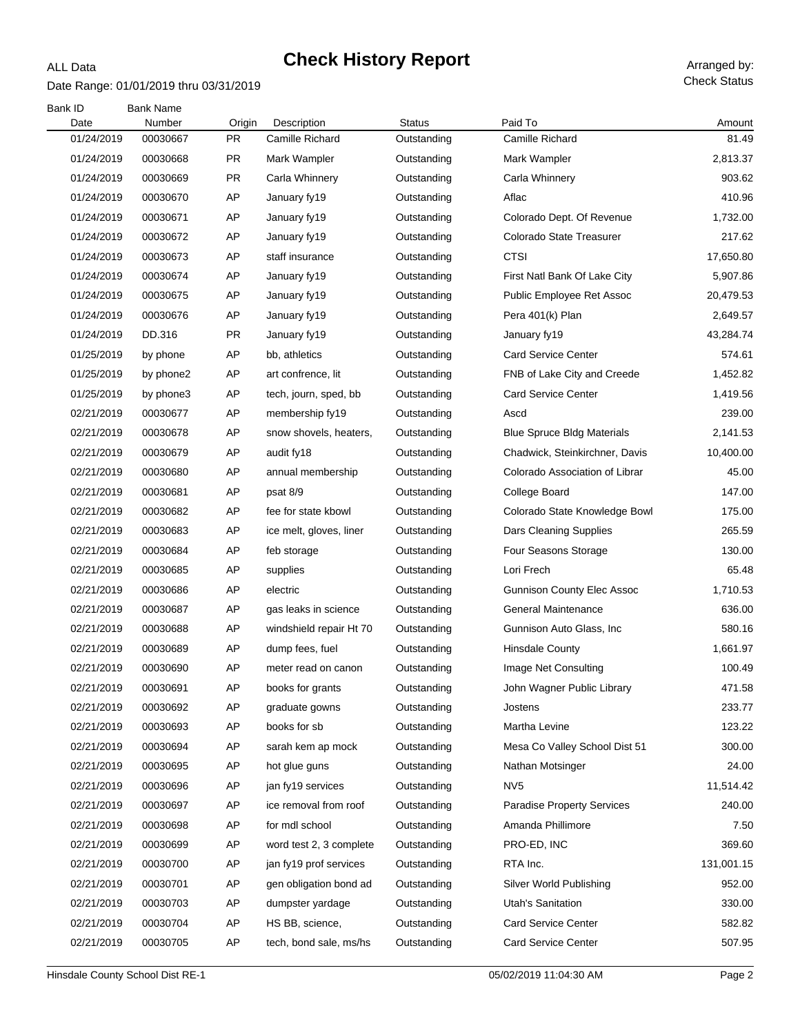# **Check History Report** Arranged by:

#### Date Range: 01/01/2019 thru 03/31/2019

ALL Data

Check Status

| Bank ID            | <b>Bank Name</b>   |                     |                                |                              | Paid To                           |                 |
|--------------------|--------------------|---------------------|--------------------------------|------------------------------|-----------------------------------|-----------------|
| Date<br>01/24/2019 | Number<br>00030667 | Origin<br><b>PR</b> | Description<br>Camille Richard | <b>Status</b><br>Outstanding | Camille Richard                   | Amount<br>81.49 |
| 01/24/2019         | 00030668           | <b>PR</b>           | Mark Wampler                   | Outstanding                  | Mark Wampler                      | 2,813.37        |
| 01/24/2019         | 00030669           | <b>PR</b>           | Carla Whinnery                 | Outstanding                  | Carla Whinnery                    | 903.62          |
| 01/24/2019         | 00030670           | AP                  | January fy19                   | Outstanding                  | Aflac                             | 410.96          |
| 01/24/2019         | 00030671           | AP                  | January fy19                   | Outstanding                  | Colorado Dept. Of Revenue         | 1,732.00        |
| 01/24/2019         | 00030672           | AP                  | January fy19                   | Outstanding                  | Colorado State Treasurer          | 217.62          |
| 01/24/2019         | 00030673           | AP                  | staff insurance                | Outstanding                  | <b>CTSI</b>                       | 17,650.80       |
| 01/24/2019         | 00030674           | AP                  | January fy19                   | Outstanding                  | First Natl Bank Of Lake City      | 5,907.86        |
| 01/24/2019         | 00030675           | AP                  | January fy19                   | Outstanding                  | Public Employee Ret Assoc         | 20,479.53       |
| 01/24/2019         | 00030676           | AP                  | January fy19                   | Outstanding                  | Pera 401(k) Plan                  | 2,649.57        |
| 01/24/2019         | DD.316             | <b>PR</b>           | January fy19                   | Outstanding                  | January fy19                      | 43,284.74       |
| 01/25/2019         | by phone           | AP                  | bb, athletics                  | Outstanding                  | <b>Card Service Center</b>        | 574.61          |
| 01/25/2019         | by phone2          | AΡ                  | art confrence, lit             | Outstanding                  | FNB of Lake City and Creede       | 1,452.82        |
| 01/25/2019         | by phone3          | AP                  | tech, journ, sped, bb          | Outstanding                  | <b>Card Service Center</b>        | 1,419.56        |
| 02/21/2019         | 00030677           | AP                  | membership fy19                | Outstanding                  | Ascd                              | 239.00          |
| 02/21/2019         | 00030678           | AP                  | snow shovels, heaters,         | Outstanding                  | <b>Blue Spruce Bldg Materials</b> | 2,141.53        |
| 02/21/2019         | 00030679           | AΡ                  | audit fy18                     | Outstanding                  | Chadwick, Steinkirchner, Davis    | 10,400.00       |
| 02/21/2019         | 00030680           | AP                  | annual membership              | Outstanding                  | Colorado Association of Librar    | 45.00           |
| 02/21/2019         | 00030681           | AP                  | psat 8/9                       | Outstanding                  | College Board                     | 147.00          |
| 02/21/2019         | 00030682           | AP                  | fee for state kbowl            | Outstanding                  | Colorado State Knowledge Bowl     | 175.00          |
| 02/21/2019         | 00030683           | AΡ                  | ice melt, gloves, liner        | Outstanding                  | Dars Cleaning Supplies            | 265.59          |
| 02/21/2019         | 00030684           | AP                  | feb storage                    | Outstanding                  | Four Seasons Storage              | 130.00          |
| 02/21/2019         | 00030685           | AP                  | supplies                       | Outstanding                  | Lori Frech                        | 65.48           |
| 02/21/2019         | 00030686           | AP                  | electric                       | Outstanding                  | <b>Gunnison County Elec Assoc</b> | 1,710.53        |
| 02/21/2019         | 00030687           | AΡ                  | gas leaks in science           | Outstanding                  | <b>General Maintenance</b>        | 636.00          |
| 02/21/2019         | 00030688           | AP                  | windshield repair Ht 70        | Outstanding                  | Gunnison Auto Glass, Inc.         | 580.16          |
| 02/21/2019         | 00030689           | AP                  | dump fees, fuel                | Outstanding                  | <b>Hinsdale County</b>            | 1,661.97        |
| 02/21/2019         | 00030690           | AP                  | meter read on canon            | Outstanding                  | Image Net Consulting              | 100.49          |
| 02/21/2019         | 00030691           | AP                  | books for grants               | Outstanding                  | John Wagner Public Library        | 471.58          |
| 02/21/2019         | 00030692           | AP                  | graduate gowns                 | Outstanding                  | Jostens                           | 233.77          |
| 02/21/2019         | 00030693           | AP                  | books for sb                   | Outstanding                  | Martha Levine                     | 123.22          |
| 02/21/2019         | 00030694           | AP                  | sarah kem ap mock              | Outstanding                  | Mesa Co Valley School Dist 51     | 300.00          |
| 02/21/2019         | 00030695           | AΡ                  | hot glue guns                  | Outstanding                  | Nathan Motsinger                  | 24.00           |
| 02/21/2019         | 00030696           | AP                  | jan fy19 services              | Outstanding                  | NV <sub>5</sub>                   | 11,514.42       |
| 02/21/2019         | 00030697           | AΡ                  | ice removal from roof          | Outstanding                  | <b>Paradise Property Services</b> | 240.00          |
| 02/21/2019         | 00030698           | AP                  | for mdl school                 | Outstanding                  | Amanda Phillimore                 | 7.50            |
| 02/21/2019         | 00030699           | AΡ                  | word test 2, 3 complete        | Outstanding                  | PRO-ED, INC                       | 369.60          |
| 02/21/2019         | 00030700           | AP                  | jan fy19 prof services         | Outstanding                  | RTA Inc.                          | 131,001.15      |
| 02/21/2019         | 00030701           | AΡ                  | gen obligation bond ad         | Outstanding                  | Silver World Publishing           | 952.00          |
| 02/21/2019         | 00030703           | AP                  | dumpster yardage               | Outstanding                  | Utah's Sanitation                 | 330.00          |
| 02/21/2019         | 00030704           | AP                  | HS BB, science,                | Outstanding                  | <b>Card Service Center</b>        | 582.82          |
| 02/21/2019         | 00030705           | AP                  | tech, bond sale, ms/hs         | Outstanding                  | <b>Card Service Center</b>        | 507.95          |
|                    |                    |                     |                                |                              |                                   |                 |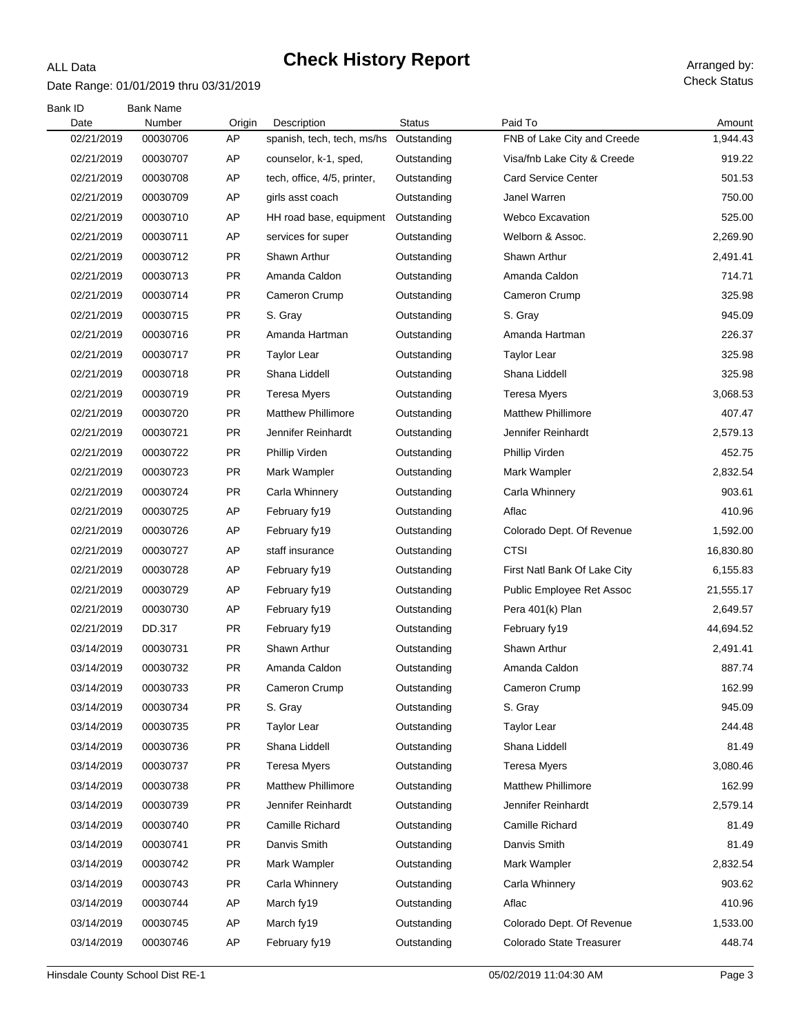# **Check History Report** Arranged by:

### Date Range: 01/01/2019 thru 03/31/2019

ALL Data

Check Status

| Bank ID    | <b>Bank Name</b> |           |                             |               |                              |           |
|------------|------------------|-----------|-----------------------------|---------------|------------------------------|-----------|
| Date       | Number           | Origin    | Description                 | <b>Status</b> | Paid To                      | Amount    |
| 02/21/2019 | 00030706         | AP        | spanish, tech, tech, ms/hs  | Outstanding   | FNB of Lake City and Creede  | 1,944.43  |
| 02/21/2019 | 00030707         | AP        | counselor, k-1, sped,       | Outstanding   | Visa/fnb Lake City & Creede  | 919.22    |
| 02/21/2019 | 00030708         | AP        | tech, office, 4/5, printer, | Outstanding   | <b>Card Service Center</b>   | 501.53    |
| 02/21/2019 | 00030709         | AP        | girls asst coach            | Outstanding   | Janel Warren                 | 750.00    |
| 02/21/2019 | 00030710         | AP        | HH road base, equipment     | Outstanding   | <b>Webco Excavation</b>      | 525.00    |
| 02/21/2019 | 00030711         | AP        | services for super          | Outstanding   | Welborn & Assoc.             | 2,269.90  |
| 02/21/2019 | 00030712         | PR        | Shawn Arthur                | Outstanding   | Shawn Arthur                 | 2,491.41  |
| 02/21/2019 | 00030713         | PR        | Amanda Caldon               | Outstanding   | Amanda Caldon                | 714.71    |
| 02/21/2019 | 00030714         | PR        | Cameron Crump               | Outstanding   | Cameron Crump                | 325.98    |
| 02/21/2019 | 00030715         | PR        | S. Gray                     | Outstanding   | S. Gray                      | 945.09    |
| 02/21/2019 | 00030716         | PR        | Amanda Hartman              | Outstanding   | Amanda Hartman               | 226.37    |
| 02/21/2019 | 00030717         | PR        | <b>Taylor Lear</b>          | Outstanding   | <b>Taylor Lear</b>           | 325.98    |
| 02/21/2019 | 00030718         | <b>PR</b> | Shana Liddell               | Outstanding   | Shana Liddell                | 325.98    |
| 02/21/2019 | 00030719         | <b>PR</b> | <b>Teresa Myers</b>         | Outstanding   | Teresa Myers                 | 3,068.53  |
| 02/21/2019 | 00030720         | PR        | <b>Matthew Phillimore</b>   | Outstanding   | <b>Matthew Phillimore</b>    | 407.47    |
| 02/21/2019 | 00030721         | <b>PR</b> | Jennifer Reinhardt          | Outstanding   | Jennifer Reinhardt           | 2,579.13  |
| 02/21/2019 | 00030722         | <b>PR</b> | Phillip Virden              | Outstanding   | Phillip Virden               | 452.75    |
| 02/21/2019 | 00030723         | <b>PR</b> | Mark Wampler                | Outstanding   | Mark Wampler                 | 2,832.54  |
| 02/21/2019 | 00030724         | PR        | Carla Whinnery              | Outstanding   | Carla Whinnery               | 903.61    |
| 02/21/2019 | 00030725         | AP        | February fy19               | Outstanding   | Aflac                        | 410.96    |
| 02/21/2019 | 00030726         | AP        | February fy19               | Outstanding   | Colorado Dept. Of Revenue    | 1,592.00  |
| 02/21/2019 | 00030727         | AP        | staff insurance             | Outstanding   | <b>CTSI</b>                  | 16,830.80 |
| 02/21/2019 | 00030728         | AP        | February fy19               | Outstanding   | First Natl Bank Of Lake City | 6,155.83  |
| 02/21/2019 | 00030729         | AP        | February fy19               | Outstanding   | Public Employee Ret Assoc    | 21,555.17 |
| 02/21/2019 | 00030730         | AP        | February fy19               | Outstanding   | Pera 401(k) Plan             | 2,649.57  |
| 02/21/2019 | DD.317           | PR        | February fy19               | Outstanding   | February fy19                | 44,694.52 |
| 03/14/2019 | 00030731         | PR        | Shawn Arthur                | Outstanding   | Shawn Arthur                 | 2,491.41  |
| 03/14/2019 | 00030732         | PR        | Amanda Caldon               | Outstanding   | Amanda Caldon                | 887.74    |
| 03/14/2019 | 00030733         | <b>PR</b> | Cameron Crump               | Outstanding   | Cameron Crump                | 162.99    |
| 03/14/2019 | 00030734         | <b>PR</b> | S. Gray                     | Outstanding   | S. Gray                      | 945.09    |
| 03/14/2019 | 00030735         | <b>PR</b> | <b>Taylor Lear</b>          | Outstanding   | Taylor Lear                  | 244.48    |
| 03/14/2019 | 00030736         | <b>PR</b> | Shana Liddell               | Outstanding   | Shana Liddell                | 81.49     |
| 03/14/2019 | 00030737         | <b>PR</b> | <b>Teresa Myers</b>         | Outstanding   | <b>Teresa Myers</b>          | 3,080.46  |
| 03/14/2019 | 00030738         | <b>PR</b> | <b>Matthew Phillimore</b>   | Outstanding   | <b>Matthew Phillimore</b>    | 162.99    |
| 03/14/2019 | 00030739         | <b>PR</b> | Jennifer Reinhardt          | Outstanding   | Jennifer Reinhardt           | 2,579.14  |
| 03/14/2019 | 00030740         | <b>PR</b> | Camille Richard             | Outstanding   | Camille Richard              | 81.49     |
| 03/14/2019 | 00030741         | <b>PR</b> | Danvis Smith                | Outstanding   | Danvis Smith                 | 81.49     |
| 03/14/2019 | 00030742         | <b>PR</b> | Mark Wampler                | Outstanding   | Mark Wampler                 | 2,832.54  |
| 03/14/2019 | 00030743         | <b>PR</b> | Carla Whinnery              | Outstanding   | Carla Whinnery               | 903.62    |
| 03/14/2019 | 00030744         | AP        | March fy19                  | Outstanding   | Aflac                        | 410.96    |
| 03/14/2019 | 00030745         | AP        | March fy19                  | Outstanding   | Colorado Dept. Of Revenue    | 1,533.00  |
| 03/14/2019 | 00030746         | AP        | February fy19               | Outstanding   | Colorado State Treasurer     | 448.74    |
|            |                  |           |                             |               |                              |           |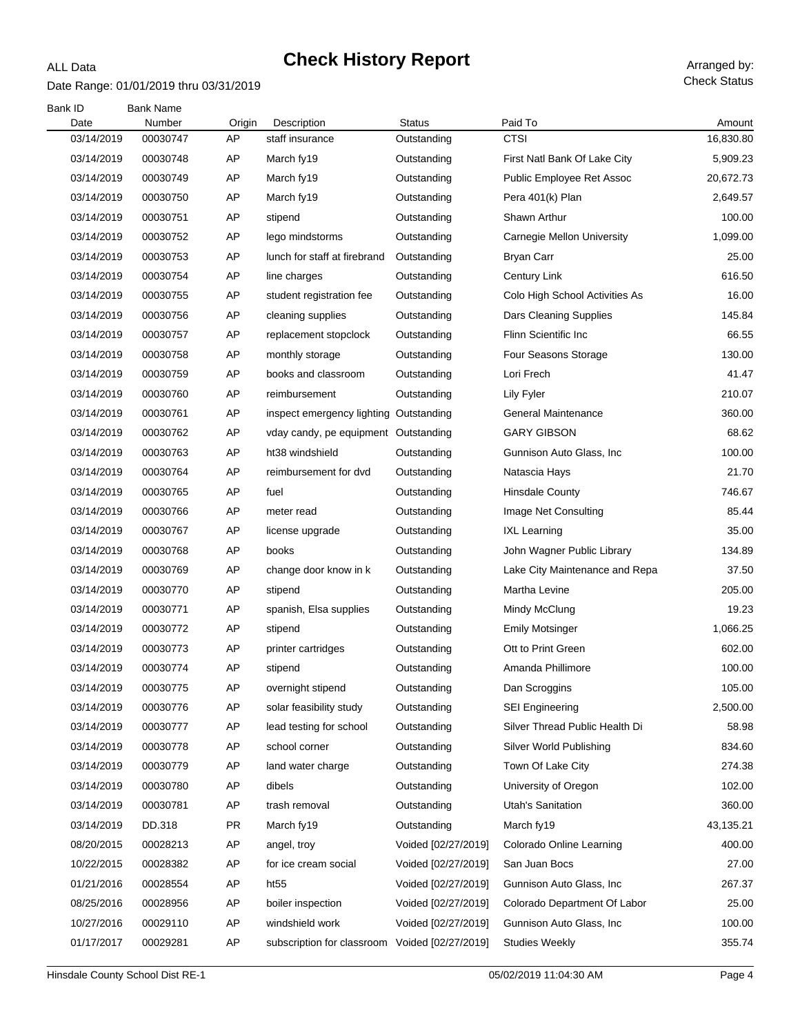# **Check History Report** Arranged by:

### Date Range: 01/01/2019 thru 03/31/2019

ALL Data

Check Status

| <b>Bank ID</b><br>Date | <b>Bank Name</b><br>Number | Origin    | Description                            | <b>Status</b>       | Paid To                           | Amount    |
|------------------------|----------------------------|-----------|----------------------------------------|---------------------|-----------------------------------|-----------|
| 03/14/2019             | 00030747                   | AP        | staff insurance                        | Outstanding         | <b>CTSI</b>                       | 16,830.80 |
| 03/14/2019             | 00030748                   | AP        | March fy19                             | Outstanding         | First Natl Bank Of Lake City      | 5,909.23  |
| 03/14/2019             | 00030749                   | AP        | March fy19                             | Outstanding         | Public Employee Ret Assoc         | 20,672.73 |
| 03/14/2019             | 00030750                   | AP        | March fy19                             | Outstanding         | Pera 401(k) Plan                  | 2,649.57  |
| 03/14/2019             | 00030751                   | AP        | stipend                                | Outstanding         | Shawn Arthur                      | 100.00    |
| 03/14/2019             | 00030752                   | AP        | lego mindstorms                        | Outstanding         | <b>Carnegie Mellon University</b> | 1,099.00  |
| 03/14/2019             | 00030753                   | AP        | lunch for staff at firebrand           | Outstanding         | <b>Bryan Carr</b>                 | 25.00     |
| 03/14/2019             | 00030754                   | AP        | line charges                           | Outstanding         | <b>Century Link</b>               | 616.50    |
| 03/14/2019             | 00030755                   | AP        | student registration fee               | Outstanding         | Colo High School Activities As    | 16.00     |
| 03/14/2019             | 00030756                   | AP        | cleaning supplies                      | Outstanding         | Dars Cleaning Supplies            | 145.84    |
| 03/14/2019             | 00030757                   | AP        | replacement stopclock                  | Outstanding         | Flinn Scientific Inc              | 66.55     |
| 03/14/2019             | 00030758                   | AP        | monthly storage                        | Outstanding         | Four Seasons Storage              | 130.00    |
| 03/14/2019             | 00030759                   | AP        | books and classroom                    | Outstanding         | Lori Frech                        | 41.47     |
| 03/14/2019             | 00030760                   | AP        | reimbursement                          | Outstanding         | Lily Fyler                        | 210.07    |
| 03/14/2019             | 00030761                   | AP        | inspect emergency lighting Outstanding |                     | <b>General Maintenance</b>        | 360.00    |
| 03/14/2019             | 00030762                   | AP        | vday candy, pe equipment Outstanding   |                     | <b>GARY GIBSON</b>                | 68.62     |
| 03/14/2019             | 00030763                   | AP        | ht38 windshield                        | Outstanding         | Gunnison Auto Glass, Inc.         | 100.00    |
| 03/14/2019             | 00030764                   | AP        | reimbursement for dvd                  | Outstanding         | Natascia Hays                     | 21.70     |
| 03/14/2019             | 00030765                   | AP        | fuel                                   | Outstanding         | <b>Hinsdale County</b>            | 746.67    |
| 03/14/2019             | 00030766                   | AP        | meter read                             | Outstanding         | Image Net Consulting              | 85.44     |
| 03/14/2019             | 00030767                   | AP        | license upgrade                        | Outstanding         | <b>IXL Learning</b>               | 35.00     |
| 03/14/2019             | 00030768                   | AP        | books                                  | Outstanding         | John Wagner Public Library        | 134.89    |
| 03/14/2019             | 00030769                   | AP        | change door know in k                  | Outstanding         | Lake City Maintenance and Repa    | 37.50     |
| 03/14/2019             | 00030770                   | AP        | stipend                                | Outstanding         | Martha Levine                     | 205.00    |
| 03/14/2019             | 00030771                   | AP        | spanish, Elsa supplies                 | Outstanding         | Mindy McClung                     | 19.23     |
| 03/14/2019             | 00030772                   | AP        | stipend                                | Outstanding         | <b>Emily Motsinger</b>            | 1,066.25  |
| 03/14/2019             | 00030773                   | AP        | printer cartridges                     | Outstanding         | Ott to Print Green                | 602.00    |
| 03/14/2019             | 00030774                   | AP        | stipend                                | Outstanding         | Amanda Phillimore                 | 100.00    |
| 03/14/2019             | 00030775                   | AP        | overnight stipend                      | Outstanding         | Dan Scroggins                     | 105.00    |
| 03/14/2019             | 00030776                   | AP        | solar feasibility study                | Outstanding         | <b>SEI Engineering</b>            | 2,500.00  |
| 03/14/2019             | 00030777                   | AP        | lead testing for school                | Outstanding         | Silver Thread Public Health Di    | 58.98     |
| 03/14/2019             | 00030778                   | AP        | school corner                          | Outstanding         | Silver World Publishing           | 834.60    |
| 03/14/2019             | 00030779                   | AP        | land water charge                      | Outstanding         | Town Of Lake City                 | 274.38    |
| 03/14/2019             | 00030780                   | AP        | dibels                                 | Outstanding         | University of Oregon              | 102.00    |
| 03/14/2019             | 00030781                   | AΡ        | trash removal                          | Outstanding         | Utah's Sanitation                 | 360.00    |
| 03/14/2019             | DD.318                     | <b>PR</b> | March fy19                             | Outstanding         | March fy19                        | 43,135.21 |
| 08/20/2015             | 00028213                   | AP        | angel, troy                            | Voided [02/27/2019] | Colorado Online Learning          | 400.00    |
| 10/22/2015             | 00028382                   | AP        | for ice cream social                   | Voided [02/27/2019] | San Juan Bocs                     | 27.00     |
| 01/21/2016             | 00028554                   | AΡ        | ht55                                   | Voided [02/27/2019] | Gunnison Auto Glass, Inc.         | 267.37    |
| 08/25/2016             | 00028956                   | AP        | boiler inspection                      | Voided [02/27/2019] | Colorado Department Of Labor      | 25.00     |
| 10/27/2016             | 00029110                   | AP        | windshield work                        | Voided [02/27/2019] | Gunnison Auto Glass, Inc.         | 100.00    |
| 01/17/2017             | 00029281                   | AP        | subscription for classroom             | Voided [02/27/2019] | <b>Studies Weekly</b>             | 355.74    |